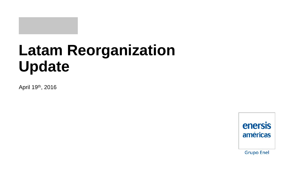# **Latam Reorganization Update**

April 19th, 2016

enersis américas **Grupo Enel**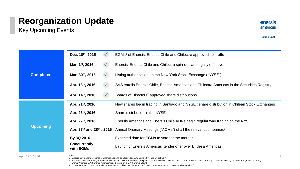Key Upcoming Events



**Grupo Enel** 

| <b>Completed</b> | Dec. 18th, 2015<br>$\sqrt{ }$             | EGMs <sup>1</sup> of Enersis, Endesa Chile and Chilectra approved spin-offs                           |
|------------------|-------------------------------------------|-------------------------------------------------------------------------------------------------------|
|                  | Mar. 1 <sup>st</sup> , 2016<br>$\sqrt{ }$ | Enersis, Endesa Chile and Chilectra spin-offs are legally effective                                   |
|                  | Mar. 30th, 2016<br>$\sqrt{ }$             | Listing authorization on the New York Stock Exchange ("NYSE")                                         |
|                  | Apr. 13th, 2016<br>$\sqrt{ }$             | SVS enrolls Enersis Chile, Endesa Americas and Chilectra Americas in the Securities Registry          |
| <b>Upcoming</b>  | Apr. 14th, 2016<br>$\sqrt{ }$             | Boards of Directors <sup>2</sup> approved share distributions                                         |
|                  | Apr. 21th, 2016                           | New shares begin trading in Santiago and NYSE; share distribution in Chilean Stock Exchanges          |
|                  | Apr. 26th, 2016                           | Share distribution in the NYSE                                                                        |
|                  | Apr. 27th, 2016                           | Enersis Americas and Enersis Chile ADRs begin regular way trading on the NYSE                         |
|                  |                                           | Apr. 27th and 28th, 2016 Annual Ordinary Meetings ("AOMs") of all the relevant companies <sup>3</sup> |
|                  | By 3Q 2016                                | Expected date for EGMs to vote for the merger                                                         |
|                  | <b>Concurrently</b><br>with EGMs          | Launch of Enersis Americas' tender offer over Endesa Americas                                         |

April 19<sup>th</sup>, 2016  $\frac{1}{4}$ 

1. Extraordinary General Meetings of Empresa Nacional de Electricidad S.A., Enersis S.A. and Chilectra S.A.

2. Boards of Directors ("BoDs") of Endesa Americas S.A. ("Endesa Americas"), Empresa Nacional de Electricidad S.A. ("EOC Chile"), Chilectra Americas S.A. ("Chilectra Americas"), Chilectra S.A. ("Chilectra Chile"), Enersis Americas S.A. ("Enersis Americas") and Enersis Chile S.A. ("Enersis Chile")

<sup>3.</sup> Endesa Americas, EOC Chile, Chilectra Americas and Chilectra Chile on April 27<sup>th</sup>, and Enersis Americas and Enersis Chile on April 28<sup>th</sup>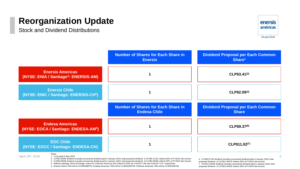Stock and Dividend Distributions



**Grupo Enel** 



5. Enersis Chile's ISIN will be CL0002266774; Endesa Americas' ISIN will be CL0002266758; Chilectra Americas' ISIN will be CL0002266766

7. CLP\$11.02239 dividend excludes provisional dividend paid in January 2016; total proposed dividend of CLP\$12.94455 reflects 50% of FY2015 Net Income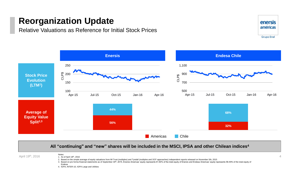Relative Valuations as Reference for Initial Stock Prices





#### **All "continuing" and "new" shares will be included in the MSCI, IPSA and other Chilean indices<sup>4</sup>**

April 19<sup>th</sup>, 2016

Notes: 1. As of April 18th, 2016

2. Based on the simple average of equity valuations from IM Trust (multiples) and Tyndall (multiples and DCF approaches) independent reports released on November 5th, 2015

- 3. Based on pro forma financial statements as of September 30<sup>th</sup>, 2015, Enersis Americas' equity represents 61.60% of the total equity of Enersis and Endesa Americas' equity represents 58.49% of the total equity of Endesa
- 4. IGPA, INTER-10, IGPA Large and Utilities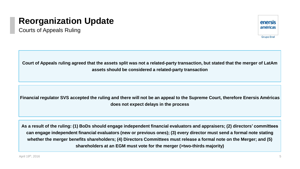Courts of Appeals Ruling



**Court of Appeals ruling agreed that the assets split was not a related-party transaction, but stated that the merger of LatAm assets should be considered a related-party transaction**

**Financial regulator SVS accepted the ruling and there will not be an appeal to the Supreme Court, therefore Enersis Américas does not expect delays in the process** 

**As a result of the ruling: (1) BoDs should engage independent financial evaluators and appraisers; (2) directors' committees can engage independent financial evaluators (new or previous ones); (3) every director must send a formal note stating whether the merger benefits shareholders; (4) Directors Committees must release a formal note on the Merger; and (5) shareholders at an EGM must vote for the merger (>two-thirds majority)**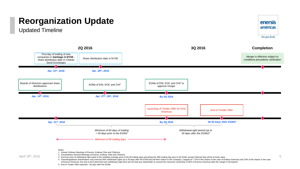Updated Timeline





of Enersis Americas, but only to the extent that such withdrawal right level will not lead any shareholder to exceed the maximum ownership of 65% of Enersis Americas after the merger is formalized

5. End of Tender Offer expected ~35 days after the EGMs